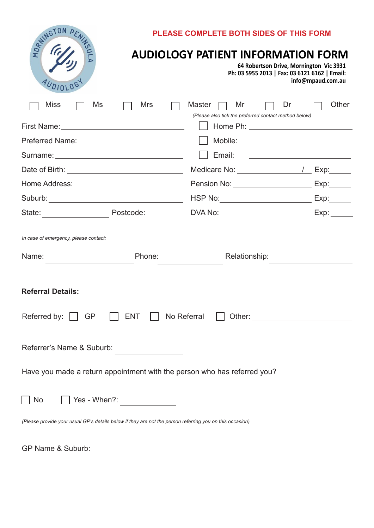|                                                                                                                 | <b>PLEASE COMPLETE BOTH SIDES OF THIS FORM</b>                                                                                                                                                                                 |                   |  |  |  |
|-----------------------------------------------------------------------------------------------------------------|--------------------------------------------------------------------------------------------------------------------------------------------------------------------------------------------------------------------------------|-------------------|--|--|--|
| REVINGTON PL<br>AUDIOLOG                                                                                        | <b>AUDIOLOGY PATIENT INFORMATION FORM</b><br>64 Robertson Drive, Mornington Vic 3931<br>Ph: 03 5955 2013   Fax: 03 6121 6162   Email:                                                                                          | info@mpaud.com.au |  |  |  |
| <b>Miss</b><br>Ms<br>Mrs                                                                                        | Master<br>Mr<br>Dr<br>(Please also tick the preferred contact method below)                                                                                                                                                    | Other             |  |  |  |
| First Name: Web and the Community of the Community of the Community of the Community of the Community of the Co |                                                                                                                                                                                                                                |                   |  |  |  |
|                                                                                                                 | Mobile:                                                                                                                                                                                                                        |                   |  |  |  |
|                                                                                                                 | Email:<br><u> 1989 - Johann Stein, fransk politik (</u>                                                                                                                                                                        |                   |  |  |  |
| Date of Birth: <u>contained a series of the series of Birth:</u>                                                | Medicare No: \\contact \\contact \\contact \\contact \\contact \\contact \\contact \\contact \\contact \\contact \\contact \\contact \\contact \\contact \\contact \\contact \\contact \\contact \\contact \\contact \\contact | Exp:              |  |  |  |
| Home Address: _______________________________                                                                   | Pension No: ______________________                                                                                                                                                                                             | Exp:              |  |  |  |
|                                                                                                                 |                                                                                                                                                                                                                                | Exp:              |  |  |  |
| Postcode:<br>State: <u>with the state of</u>                                                                    |                                                                                                                                                                                                                                | Exp:              |  |  |  |
| In case of emergency, please contact:<br>Name:<br>Phone:                                                        | Relationship:                                                                                                                                                                                                                  |                   |  |  |  |
| <b>Referral Details:</b>                                                                                        |                                                                                                                                                                                                                                |                   |  |  |  |
| Referred by:<br>GP<br><b>ENT</b><br>No Referral                                                                 |                                                                                                                                                                                                                                |                   |  |  |  |
| Referrer's Name & Suburb:                                                                                       |                                                                                                                                                                                                                                |                   |  |  |  |
| Have you made a return appointment with the person who has referred you?                                        |                                                                                                                                                                                                                                |                   |  |  |  |
| Yes - When?:<br><b>No</b>                                                                                       |                                                                                                                                                                                                                                |                   |  |  |  |
| (Please provide your usual GP's details below if they are not the person referring you on this occasion)        |                                                                                                                                                                                                                                |                   |  |  |  |
|                                                                                                                 |                                                                                                                                                                                                                                |                   |  |  |  |